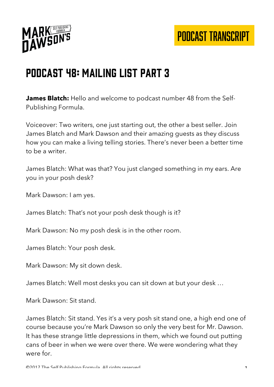



## Podcast 48: Mailing List Part 3

**James Blatch:** Hello and welcome to podcast number 48 from the Self-Publishing Formula.

Voiceover: Two writers, one just starting out, the other a best seller. Join James Blatch and Mark Dawson and their amazing guests as they discuss how you can make a living telling stories. There's never been a better time to be a writer.

James Blatch: What was that? You just clanged something in my ears. Are you in your posh desk?

Mark Dawson: I am yes.

James Blatch: That's not your posh desk though is it?

Mark Dawson: No my posh desk is in the other room.

James Blatch: Your posh desk.

Mark Dawson: My sit down desk.

James Blatch: Well most desks you can sit down at but your desk …

Mark Dawson: Sit stand.

James Blatch: Sit stand. Yes it's a very posh sit stand one, a high end one of course because you're Mark Dawson so only the very best for Mr. Dawson. It has these strange little depressions in them, which we found out putting cans of beer in when we were over there. We were wondering what they were for.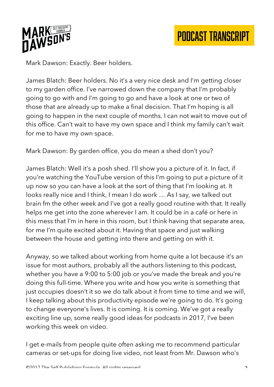

Mark Dawson: Exactly. Beer holders.

James Blatch: Beer holders. No it's a very nice desk and I'm getting closer to my garden office. I've narrowed down the company that I'm probably going to go with and I'm going to go and have a look at one or two of those that are already up to make a final decision. That I'm hoping is all going to happen in the next couple of months. I can not wait to move out of this office. Can't wait to have my own space and I think my family can't wait for me to have my own space.

Mark Dawson: By garden office, you do mean a shed don't you?

James Blatch: Well it's a posh shed. I'll show you a picture of it. In fact, if you're watching the YouTube version of this I'm going to put a picture of it up now so you can have a look at the sort of thing that I'm looking at. It looks really nice and I think, I mean I do work … As I say, we talked out brain fm the other week and I've got a really good routine with that. It really helps me get into the zone wherever I am. It could be in a café or here in this mess that I'm in here in this room, but I think having that separate area, for me I'm quite excited about it. Having that space and just walking between the house and getting into there and getting on with it.

Anyway, so we talked about working from home quite a lot because it's an issue for most authors, probably all the authors listening to this podcast, whether you have a 9:00 to 5:00 job or you've made the break and you're doing this full-time. Where you write and how you write is something that just occupies doesn't it so we do talk about it from time to time and we will, I keep talking about this productivity episode we're going to do. It's going to change everyone's lives. It is coming. It is coming. We've got a really exciting line up, some really good ideas for podcasts in 2017, I've been working this week on video.

I get e-mails from people quite often asking me to recommend particular cameras or set-ups for doing live video, not least from Mr. Dawson who's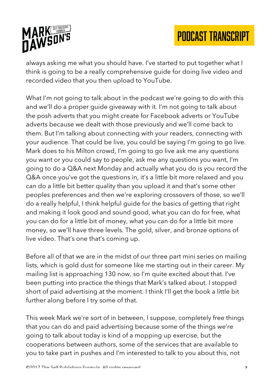

always asking me what you should have. I've started to put together what I think is going to be a really comprehensive guide for doing live video and recorded video that you then upload to YouTube.

What I'm not going to talk about in the podcast we're going to do with this and we'll do a proper guide giveaway with it. I'm not going to talk about the posh adverts that you might create for Facebook adverts or YouTube adverts because we dealt with those previously and we'll come back to them. But I'm talking about connecting with your readers, connecting with your audience. That could be live, you could be saying I'm going to go live. Mark does to his Milton crowd, I'm going to go live ask me any questions you want or you could say to people, ask me any questions you want, I'm going to do a Q&A next Monday and actually what you do is you record the Q&A once you've got the questions in, it's a little bit more relaxed and you can do a little bit better quality than you upload it and that's some other peoples preferences and then we're exploring crossovers of those, so we'll do a really helpful, I think helpful guide for the basics of getting that right and making it look good and sound good, what you can do for free, what you can do for a little bit of money, what you can do for a little bit more money, so we'll have three levels. The gold, silver, and bronze options of live video. That's one that's coming up.

Before all of that we are in the midst of our three part mini series on mailing lists, which is gold dust for someone like me starting out in their career. My mailing list is approaching 130 now, so I'm quite excited about that. I've been putting into practice the things that Mark's talked about. I stopped short of paid advertising at the moment. I think I'll get the book a little bit further along before I try some of that.

This week Mark we're sort of in between, I suppose, completely free things that you can do and paid advertising because some of the things we're going to talk about today is kind of a mopping up exercise, but the cooperations between authors, some of the services that are available to you to take part in pushes and I'm interested to talk to you about this, not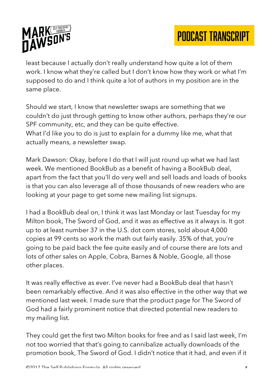

least because I actually don't really understand how quite a lot of them work. I know what they're called but I don't know how they work or what I'm supposed to do and I think quite a lot of authors in my position are in the same place.

Should we start, I know that newsletter swaps are something that we couldn't do just through getting to know other authors, perhaps they're our SPF community, etc, and they can be quite effective. What I'd like you to do is just to explain for a dummy like me, what that actually means, a newsletter swap.

Mark Dawson: Okay, before I do that I will just round up what we had last week. We mentioned BookBub as a benefit of having a BookBub deal, apart from the fact that you'll do very well and sell loads and loads of books is that you can also leverage all of those thousands of new readers who are looking at your page to get some new mailing list signups.

I had a BookBub deal on, I think it was last Monday or last Tuesday for my Milton book, The Sword of God, and it was as effective as it always is. It got up to at least number 37 in the U.S. dot com stores, sold about 4,000 copies at 99 cents so work the math out fairly easily. 35% of that, you're going to be paid back the fee quite easily and of course there are lots and lots of other sales on Apple, Cobra, Barnes & Noble, Google, all those other places.

It was really effective as ever. I've never had a BookBub deal that hasn't been remarkably effective. And it was also effective in the other way that we mentioned last week. I made sure that the product page for The Sword of God had a fairly prominent notice that directed potential new readers to my mailing list.

They could get the first two Milton books for free and as I said last week, I'm not too worried that that's going to cannibalize actually downloads of the promotion book, The Sword of God. I didn't notice that it had, and even if it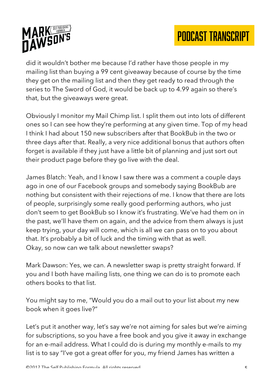

did it wouldn't bother me because I'd rather have those people in my mailing list than buying a 99 cent giveaway because of course by the time they get on the mailing list and then they get ready to read through the series to The Sword of God, it would be back up to 4.99 again so there's that, but the giveaways were great.

Obviously I monitor my Mail Chimp list. I split them out into lots of different ones so I can see how they're performing at any given time. Top of my head I think I had about 150 new subscribers after that BookBub in the two or three days after that. Really, a very nice additional bonus that authors often forget is available if they just have a little bit of planning and just sort out their product page before they go live with the deal.

James Blatch: Yeah, and I know I saw there was a comment a couple days ago in one of our Facebook groups and somebody saying BookBub are nothing but consistent with their rejections of me. I know that there are lots of people, surprisingly some really good performing authors, who just don't seem to get BookBub so I know it's frustrating. We've had them on in the past, we'll have them on again, and the advice from them always is just keep trying, your day will come, which is all we can pass on to you about that. It's probably a bit of luck and the timing with that as well. Okay, so now can we talk about newsletter swaps?

Mark Dawson: Yes, we can. A newsletter swap is pretty straight forward. If you and I both have mailing lists, one thing we can do is to promote each others books to that list.

You might say to me, "Would you do a mail out to your list about my new book when it goes live?"

Let's put it another way, let's say we're not aiming for sales but we're aiming for subscriptions, so you have a free book and you give it away in exchange for an e-mail address. What I could do is during my monthly e-mails to my list is to say "I've got a great offer for you, my friend James has written a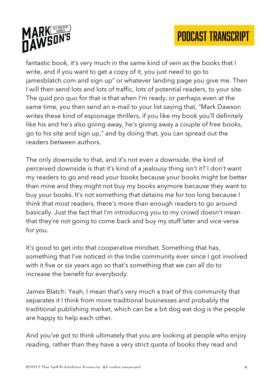

fantastic book, it's very much in the same kind of vein as the books that I write, and if you want to get a copy of it, you just need to go to jamesblatch.com and sign up" or whatever landing page you give me. Then I will then send lots and lots of traffic, lots of potential readers, to your site. The quid pro quo for that is that when I'm ready, or perhaps even at the same time, you then send an e-mail to your list saying that, "Mark Dawson writes these kind of espionage thrillers, if you like my book you'll definitely like his and he's also giving away, he's giving away a couple of free books, go to his site and sign up," and by doing that, you can spread out the readers between authors.

The only downside to that, and it's not even a downside, the kind of perceived downside is that it's kind of a jealousy thing isn't it? I don't want my readers to go and read your books because your books might be better than mine and they might not buy my books anymore because they want to buy your books. It's not something that detains me for too long because I think that most readers, there's more than enough readers to go around basically. Just the fact that I'm introducing you to my crowd doesn't mean that they're not going to come back and buy my stuff later and vice versa for you.

It's good to get into that cooperative mindset. Something that has, something that I've noticed in the Indie community ever since I got involved with it five or six years ago so that's something that we can all do to increase the benefit for everybody.

James Blatch: Yeah, I mean that's very much a trait of this community that separates it I think from more traditional businesses and probably the traditional publishing market, which can be a bit dog eat dog is the people are happy to help each other.

And you've got to think ultimately that you are looking at people who enjoy reading, rather than they have a very strict quota of books they read and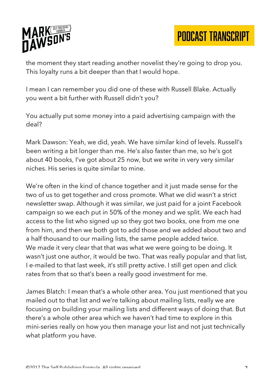

the moment they start reading another novelist they're going to drop you. This loyalty runs a bit deeper than that I would hope.

I mean I can remember you did one of these with Russell Blake. Actually you went a bit further with Russell didn't you?

You actually put some money into a paid advertising campaign with the deal?

Mark Dawson: Yeah, we did, yeah. We have similar kind of levels. Russell's been writing a bit longer than me. He's also faster than me, so he's got about 40 books, I've got about 25 now, but we write in very very similar niches. His series is quite similar to mine.

We're often in the kind of chance together and it just made sense for the two of us to get together and cross promote. What we did wasn't a strict newsletter swap. Although it was similar, we just paid for a joint Facebook campaign so we each put in 50% of the money and we split. We each had access to the list who signed up so they got two books, one from me one from him, and then we both got to add those and we added about two and a half thousand to our mailing lists, the same people added twice. We made it very clear that that was what we were going to be doing. It wasn't just one author, it would be two. That was really popular and that list, I e-mailed to that last week, it's still pretty active. I still get open and click rates from that so that's been a really good investment for me.

James Blatch: I mean that's a whole other area. You just mentioned that you mailed out to that list and we're talking about mailing lists, really we are focusing on building your mailing lists and different ways of doing that. But there's a whole other area which we haven't had time to explore in this mini-series really on how you then manage your list and not just technically what platform you have.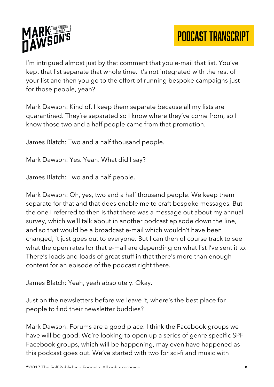

I'm intrigued almost just by that comment that you e-mail that list. You've kept that list separate that whole time. It's not integrated with the rest of your list and then you go to the effort of running bespoke campaigns just for those people, yeah?

Mark Dawson: Kind of. I keep them separate because all my lists are quarantined. They're separated so I know where they've come from, so I know those two and a half people came from that promotion.

James Blatch: Two and a half thousand people.

Mark Dawson: Yes. Yeah. What did I say?

James Blatch: Two and a half people.

Mark Dawson: Oh, yes, two and a half thousand people. We keep them separate for that and that does enable me to craft bespoke messages. But the one I referred to then is that there was a message out about my annual survey, which we'll talk about in another podcast episode down the line, and so that would be a broadcast e-mail which wouldn't have been changed, it just goes out to everyone. But I can then of course track to see what the open rates for that e-mail are depending on what list I've sent it to. There's loads and loads of great stuff in that there's more than enough content for an episode of the podcast right there.

James Blatch: Yeah, yeah absolutely. Okay.

Just on the newsletters before we leave it, where's the best place for people to find their newsletter buddies?

Mark Dawson: Forums are a good place. I think the Facebook groups we have will be good. We're looking to open up a series of genre specific SPF Facebook groups, which will be happening, may even have happened as this podcast goes out. We've started with two for sci-fi and music with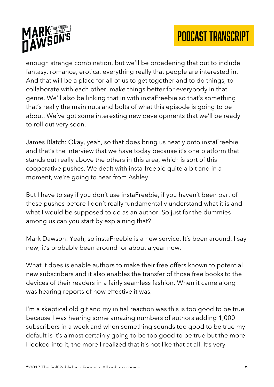



enough strange combination, but we'll be broadening that out to include fantasy, romance, erotica, everything really that people are interested in. And that will be a place for all of us to get together and to do things, to collaborate with each other, make things better for everybody in that genre. We'll also be linking that in with instaFreebie so that's something that's really the main nuts and bolts of what this episode is going to be about. We've got some interesting new developments that we'll be ready to roll out very soon.

James Blatch: Okay, yeah, so that does bring us neatly onto instaFreebie and that's the interview that we have today because it's one platform that stands out really above the others in this area, which is sort of this cooperative pushes. We dealt with insta-freebie quite a bit and in a moment, we're going to hear from Ashley.

But I have to say if you don't use instaFreebie, if you haven't been part of these pushes before I don't really fundamentally understand what it is and what I would be supposed to do as an author. So just for the dummies among us can you start by explaining that?

Mark Dawson: Yeah, so instaFreebie is a new service. It's been around, I say new, it's probably been around for about a year now.

What it does is enable authors to make their free offers known to potential new subscribers and it also enables the transfer of those free books to the devices of their readers in a fairly seamless fashion. When it came along I was hearing reports of how effective it was.

I'm a skeptical old git and my initial reaction was this is too good to be true because I was hearing some amazing numbers of authors adding 1,000 subscribers in a week and when something sounds too good to be true my default is it's almost certainly going to be too good to be true but the more I looked into it, the more I realized that it's not like that at all. It's very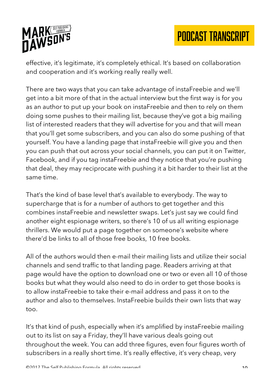

effective, it's legitimate, it's completely ethical. It's based on collaboration and cooperation and it's working really really well.

There are two ways that you can take advantage of instaFreebie and we'll get into a bit more of that in the actual interview but the first way is for you as an author to put up your book on instaFreebie and then to rely on them doing some pushes to their mailing list, because they've got a big mailing list of interested readers that they will advertise for you and that will mean that you'll get some subscribers, and you can also do some pushing of that yourself. You have a landing page that instaFreebie will give you and then you can push that out across your social channels, you can put it on Twitter, Facebook, and if you tag instaFreebie and they notice that you're pushing that deal, they may reciprocate with pushing it a bit harder to their list at the same time.

That's the kind of base level that's available to everybody. The way to supercharge that is for a number of authors to get together and this combines instaFreebie and newsletter swaps. Let's just say we could find another eight espionage writers, so there's 10 of us all writing espionage thrillers. We would put a page together on someone's website where there'd be links to all of those free books, 10 free books.

All of the authors would then e-mail their mailing lists and utilize their social channels and send traffic to that landing page. Readers arriving at that page would have the option to download one or two or even all 10 of those books but what they would also need to do in order to get those books is to allow instaFreebie to take their e-mail address and pass it on to the author and also to themselves. InstaFreebie builds their own lists that way too.

It's that kind of push, especially when it's amplified by instaFreebie mailing out to its list on say a Friday, they'll have various deals going out throughout the week. You can add three figures, even four figures worth of subscribers in a really short time. It's really effective, it's very cheap, very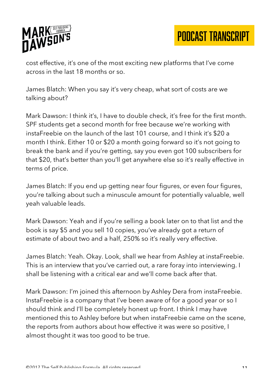

cost effective, it's one of the most exciting new platforms that I've come across in the last 18 months or so.

James Blatch: When you say it's very cheap, what sort of costs are we talking about?

Mark Dawson: I think it's, I have to double check, it's free for the first month. SPF students get a second month for free because we're working with instaFreebie on the launch of the last 101 course, and I think it's \$20 a month I think. Either 10 or \$20 a month going forward so it's not going to break the bank and if you're getting, say you even got 100 subscribers for that \$20, that's better than you'll get anywhere else so it's really effective in terms of price.

James Blatch: If you end up getting near four figures, or even four figures, you're talking about such a minuscule amount for potentially valuable, well yeah valuable leads.

Mark Dawson: Yeah and if you're selling a book later on to that list and the book is say \$5 and you sell 10 copies, you've already got a return of estimate of about two and a half, 250% so it's really very effective.

James Blatch: Yeah. Okay. Look, shall we hear from Ashley at instaFreebie. This is an interview that you've carried out, a rare foray into interviewing. I shall be listening with a critical ear and we'll come back after that.

Mark Dawson: I'm joined this afternoon by Ashley Dera from instaFreebie. InstaFreebie is a company that I've been aware of for a good year or so I should think and I'll be completely honest up front. I think I may have mentioned this to Ashley before but when instaFreebie came on the scene, the reports from authors about how effective it was were so positive, I almost thought it was too good to be true.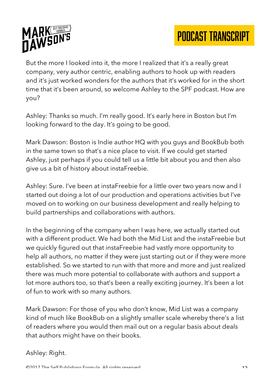

But the more I looked into it, the more I realized that it's a really great company, very author centric, enabling authors to hook up with readers and it's just worked wonders for the authors that it's worked for in the short time that it's been around, so welcome Ashley to the SPF podcast. How are you?

Ashley: Thanks so much. I'm really good. It's early here in Boston but I'm looking forward to the day. It's going to be good.

Mark Dawson: Boston is Indie author HQ with you guys and BookBub both in the same town so that's a nice place to visit. If we could get started Ashley, just perhaps if you could tell us a little bit about you and then also give us a bit of history about instaFreebie.

Ashley: Sure. I've been at instaFreebie for a little over two years now and I started out doing a lot of our production and operations activities but I've moved on to working on our business development and really helping to build partnerships and collaborations with authors.

In the beginning of the company when I was here, we actually started out with a different product. We had both the Mid List and the instaFreebie but we quickly figured out that instaFreebie had vastly more opportunity to help all authors, no matter if they were just starting out or if they were more established. So we started to run with that more and more and just realized there was much more potential to collaborate with authors and support a lot more authors too, so that's been a really exciting journey. It's been a lot of fun to work with so many authors.

Mark Dawson: For those of you who don't know, Mid List was a company kind of much like BookBub on a slightly smaller scale whereby there's a list of readers where you would then mail out on a regular basis about deals that authors might have on their books.

## Ashley: Right.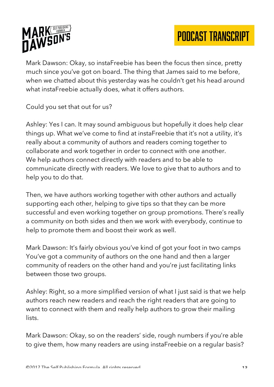



Mark Dawson: Okay, so instaFreebie has been the focus then since, pretty much since you've got on board. The thing that James said to me before, when we chatted about this yesterday was he couldn't get his head around what instaFreebie actually does, what it offers authors.

Could you set that out for us?

Ashley: Yes I can. It may sound ambiguous but hopefully it does help clear things up. What we've come to find at instaFreebie that it's not a utility, it's really about a community of authors and readers coming together to collaborate and work together in order to connect with one another. We help authors connect directly with readers and to be able to communicate directly with readers. We love to give that to authors and to help you to do that.

Then, we have authors working together with other authors and actually supporting each other, helping to give tips so that they can be more successful and even working together on group promotions. There's really a community on both sides and then we work with everybody, continue to help to promote them and boost their work as well.

Mark Dawson: It's fairly obvious you've kind of got your foot in two camps You've got a community of authors on the one hand and then a larger community of readers on the other hand and you're just facilitating links between those two groups.

Ashley: Right, so a more simplified version of what I just said is that we help authors reach new readers and reach the right readers that are going to want to connect with them and really help authors to grow their mailing lists.

Mark Dawson: Okay, so on the readers' side, rough numbers if you're able to give them, how many readers are using instaFreebie on a regular basis?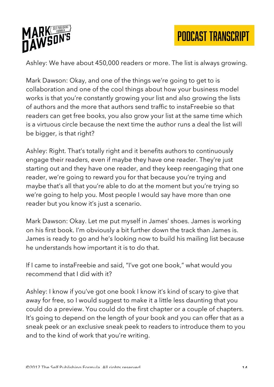



Ashley: We have about 450,000 readers or more. The list is always growing.

Mark Dawson: Okay, and one of the things we're going to get to is collaboration and one of the cool things about how your business model works is that you're constantly growing your list and also growing the lists of authors and the more that authors send traffic to instaFreebie so that readers can get free books, you also grow your list at the same time which is a virtuous circle because the next time the author runs a deal the list will be bigger, is that right?

Ashley: Right. That's totally right and it benefits authors to continuously engage their readers, even if maybe they have one reader. They're just starting out and they have one reader, and they keep reengaging that one reader, we're going to reward you for that because you're trying and maybe that's all that you're able to do at the moment but you're trying so we're going to help you. Most people I would say have more than one reader but you know it's just a scenario.

Mark Dawson: Okay. Let me put myself in James' shoes. James is working on his first book. I'm obviously a bit further down the track than James is. James is ready to go and he's looking now to build his mailing list because he understands how important it is to do that.

If I came to instaFreebie and said, "I've got one book," what would you recommend that I did with it?

Ashley: I know if you've got one book I know it's kind of scary to give that away for free, so I would suggest to make it a little less daunting that you could do a preview. You could do the first chapter or a couple of chapters. It's going to depend on the length of your book and you can offer that as a sneak peek or an exclusive sneak peek to readers to introduce them to you and to the kind of work that you're writing.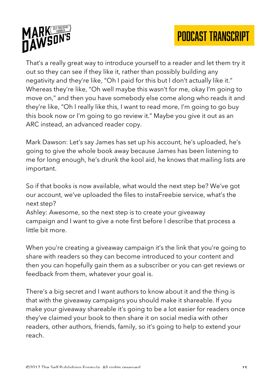



That's a really great way to introduce yourself to a reader and let them try it out so they can see if they like it, rather than possibly building any negativity and they're like, "Oh I paid for this but I don't actually like it." Whereas they're like, "Oh well maybe this wasn't for me, okay I'm going to move on," and then you have somebody else come along who reads it and they're like, "Oh I really like this, I want to read more, I'm going to go buy this book now or I'm going to go review it." Maybe you give it out as an ARC instead, an advanced reader copy.

Mark Dawson: Let's say James has set up his account, he's uploaded, he's going to give the whole book away because James has been listening to me for long enough, he's drunk the kool aid, he knows that mailing lists are important.

So if that books is now available, what would the next step be? We've got our account, we've uploaded the files to instaFreebie service, what's the next step?

Ashley: Awesome, so the next step is to create your giveaway campaign and I want to give a note first before I describe that process a little bit more.

When you're creating a giveaway campaign it's the link that you're going to share with readers so they can become introduced to your content and then you can hopefully gain them as a subscriber or you can get reviews or feedback from them, whatever your goal is.

There's a big secret and I want authors to know about it and the thing is that with the giveaway campaigns you should make it shareable. If you make your giveaway shareable it's going to be a lot easier for readers once they've claimed your book to then share it on social media with other readers, other authors, friends, family, so it's going to help to extend your reach.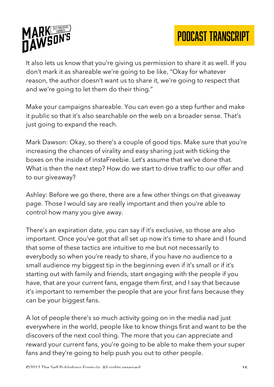



It also lets us know that you're giving us permission to share it as well. If you don't mark it as shareable we're going to be like, "Okay for whatever reason, the author doesn't want us to share it, we're going to respect that and we're going to let them do their thing."

Make your campaigns shareable. You can even go a step further and make it public so that it's also searchable on the web on a broader sense. That's just going to expand the reach.

Mark Dawson: Okay, so there's a couple of good tips. Make sure that you're increasing the chances of virality and easy sharing just with ticking the boxes on the inside of instaFreebie. Let's assume that we've done that. What is then the next step? How do we start to drive traffic to our offer and to our giveaway?

Ashley: Before we go there, there are a few other things on that giveaway page. Those I would say are really important and then you're able to control how many you give away.

There's an expiration date, you can say if it's exclusive, so those are also important. Once you've got that all set up now it's time to share and I found that some of these tactics are intuitive to me but not necessarily to everybody so when you're ready to share, if you have no audience to a small audience my biggest tip in the beginning even if it's small or if it's starting out with family and friends, start engaging with the people if you have, that are your current fans, engage them first, and I say that because it's important to remember the people that are your first fans because they can be your biggest fans.

A lot of people there's so much activity going on in the media nad just everywhere in the world, people like to know things first and want to be the discovers of the next cool thing. The more that you can appreciate and reward your current fans, you're going to be able to make them your super fans and they're going to help push you out to other people.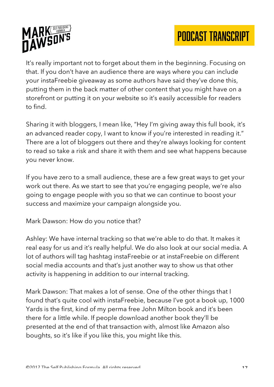

It's really important not to forget about them in the beginning. Focusing on that. If you don't have an audience there are ways where you can include your instaFreebie giveaway as some authors have said they've done this, putting them in the back matter of other content that you might have on a storefront or putting it on your website so it's easily accessible for readers to find.

Sharing it with bloggers, I mean like, "Hey I'm giving away this full book, it's an advanced reader copy, I want to know if you're interested in reading it." There are a lot of bloggers out there and they're always looking for content to read so take a risk and share it with them and see what happens because you never know.

If you have zero to a small audience, these are a few great ways to get your work out there. As we start to see that you're engaging people, we're also going to engage people with you so that we can continue to boost your success and maximize your campaign alongside you.

Mark Dawson: How do you notice that?

Ashley: We have internal tracking so that we're able to do that. It makes it real easy for us and it's really helpful. We do also look at our social media. A lot of authors will tag hashtag instaFreebie or at instaFreebie on different social media accounts and that's just another way to show us that other activity is happening in addition to our internal tracking.

Mark Dawson: That makes a lot of sense. One of the other things that I found that's quite cool with instaFreebie, because I've got a book up, 1000 Yards is the first, kind of my perma free John Milton book and it's been there for a little while. If people download another book they'll be presented at the end of that transaction with, almost like Amazon also boughts, so it's like if you like this, you might like this.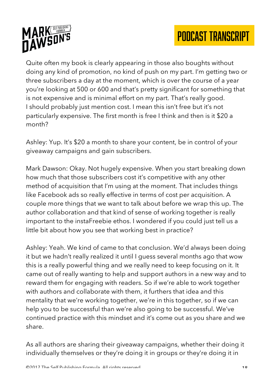



Quite often my book is clearly appearing in those also boughts without doing any kind of promotion, no kind of push on my part. I'm getting two or three subscribers a day at the moment, which is over the course of a year you're looking at 500 or 600 and that's pretty significant for something that is not expensive and is minimal effort on my part. That's really good. I should probably just mention cost. I mean this isn't free but it's not particularly expensive. The first month is free I think and then is it \$20 a month?

Ashley: Yup. It's \$20 a month to share your content, be in control of your giveaway campaigns and gain subscribers.

Mark Dawson: Okay. Not hugely expensive. When you start breaking down how much that those subscribers cost it's competitive with any other method of acquisition that I'm using at the moment. That includes things like Facebook ads so really effective in terms of cost per acquisition. A couple more things that we want to talk about before we wrap this up. The author collaboration and that kind of sense of working together is really important to the instaFreebie ethos. I wondered if you could just tell us a little bit about how you see that working best in practice?

Ashley: Yeah. We kind of came to that conclusion. We'd always been doing it but we hadn't really realized it until I guess several months ago that wow this is a really powerful thing and we really need to keep focusing on it. It came out of really wanting to help and support authors in a new way and to reward them for engaging with readers. So if we're able to work together with authors and collaborate with them, it furthers that idea and this mentality that we're working together, we're in this together, so if we can help you to be successful than we're also going to be successful. We've continued practice with this mindset and it's come out as you share and we share.

As all authors are sharing their giveaway campaigns, whether their doing it individually themselves or they're doing it in groups or they're doing it in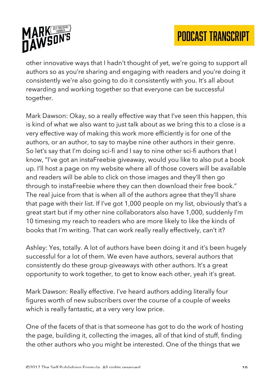

other innovative ways that I hadn't thought of yet, we're going to support all authors so as you're sharing and engaging with readers and you're doing it consistently we're also going to do it consistently with you. It's all about rewarding and working together so that everyone can be successful together.

Mark Dawson: Okay, so a really effective way that I've seen this happen, this is kind of what we also want to just talk about as we bring this to a close is a very effective way of making this work more efficiently is for one of the authors, or an author, to say to maybe nine other authors in their genre. So let's say that I'm doing sci-fi and I say to nine other sci-fi authors that I know, "I've got an instaFreebie giveaway, would you like to also put a book up. I'll host a page on my website where all of those covers will be available and readers will be able to click on those images and they'll then go through to instaFreebie where they can then download their free book." The real juice from that is when all of the authors agree that they'll share that page with their list. If I've got 1,000 people on my list, obviously that's a great start but if my other nine collaborators also have 1,000, suddenly I'm 10 timesing my reach to readers who are more likely to like the kinds of books that I'm writing. That can work really really effectively, can't it?

Ashley: Yes, totally. A lot of authors have been doing it and it's been hugely successful for a lot of them. We even have authors, several authors that consistently do these group giveaways with other authors. It's a great opportunity to work together, to get to know each other, yeah it's great.

Mark Dawson: Really effective. I've heard authors adding literally four figures worth of new subscribers over the course of a couple of weeks which is really fantastic, at a very very low price.

One of the facets of that is that someone has got to do the work of hosting the page, building it, collecting the images, all of that kind of stuff, finding the other authors who you might be interested. One of the things that we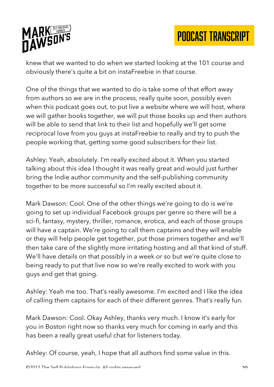

knew that we wanted to do when we started looking at the 101 course and obviously there's quite a bit on instaFreebie in that course.

One of the things that we wanted to do is take some of that effort away from authors so we are in the process, really quite soon, possibly even when this podcast goes out, to put live a website where we will host, where we will gather books together, we will put those books up and then authors will be able to send that link to their list and hopefully we'll get some reciprocal love from you guys at instaFreebie to really and try to push the people working that, getting some good subscribers for their list.

Ashley: Yeah, absolutely. I'm really excited about it. When you started talking about this idea I thought it was really great and would just further bring the Indie author community and the self-publishing community together to be more successful so I'm really excited about it.

Mark Dawson: Cool. One of the other things we're going to do is we're going to set up individual Facebook groups per genre so there will be a sci-fi, fantasy, mystery, thriller, romance, erotica, and each of those groups will have a captain. We're going to call them captains and they will enable or they will help people get together, put those primers together and we'll then take care of the slightly more irritating hosting and all that kind of stuff. We'll have details on that possibly in a week or so but we're quite close to being ready to put that live now so we're really excited to work with you guys and get that going.

Ashley: Yeah me too. That's really awesome. I'm excited and I like the idea of calling them captains for each of their different genres. That's really fun.

Mark Dawson: Cool. Okay Ashley, thanks very much. I know it's early for you in Boston right now so thanks very much for coming in early and this has been a really great useful chat for listeners today.

Ashley: Of course, yeah, I hope that all authors find some value in this.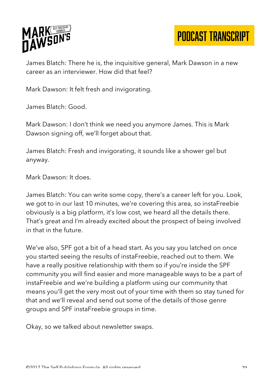

James Blatch: There he is, the inquisitive general, Mark Dawson in a new career as an interviewer. How did that feel?

Mark Dawson: It felt fresh and invigorating.

James Blatch: Good.

Mark Dawson: I don't think we need you anymore James. This is Mark Dawson signing off, we'll forget about that.

James Blatch: Fresh and invigorating, it sounds like a shower gel but anyway.

Mark Dawson: It does.

James Blatch: You can write some copy, there's a career left for you. Look, we got to in our last 10 minutes, we're covering this area, so instaFreebie obviously is a big platform, it's low cost, we heard all the details there. That's great and I'm already excited about the prospect of being involved in that in the future.

We've also, SPF got a bit of a head start. As you say you latched on once you started seeing the results of instaFreebie, reached out to them. We have a really positive relationship with them so if you're inside the SPF community you will find easier and more manageable ways to be a part of instaFreebie and we're building a platform using our community that means you'll get the very most out of your time with them so stay tuned for that and we'll reveal and send out some of the details of those genre groups and SPF instaFreebie groups in time.

Okay, so we talked about newsletter swaps.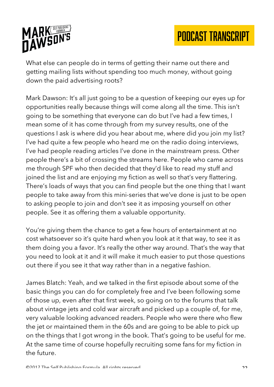

What else can people do in terms of getting their name out there and getting mailing lists without spending too much money, without going down the paid advertising roots?

Mark Dawson: It's all just going to be a question of keeping our eyes up for opportunities really because things will come along all the time. This isn't going to be something that everyone can do but I've had a few times, I mean some of it has come through from my survey results, one of the questions I ask is where did you hear about me, where did you join my list? I've had quite a few people who heard me on the radio doing interviews, I've had people reading articles I've done in the mainstream press. Other people there's a bit of crossing the streams here. People who came across me through SPF who then decided that they'd like to read my stuff and joined the list and are enjoying my fiction as well so that's very flattering. There's loads of ways that you can find people but the one thing that I want people to take away from this mini-series that we've done is just to be open to asking people to join and don't see it as imposing yourself on other people. See it as offering them a valuable opportunity.

You're giving them the chance to get a few hours of entertainment at no cost whatsoever so it's quite hard when you look at it that way, to see it as them doing you a favor. It's really the other way around. That's the way that you need to look at it and it will make it much easier to put those questions out there if you see it that way rather than in a negative fashion.

James Blatch: Yeah, and we talked in the first episode about some of the basic things you can do for completely free and I've been following some of those up, even after that first week, so going on to the forums that talk about vintage jets and cold war aircraft and picked up a couple of, for me, very valuable looking advanced readers. People who were there who flew the jet or maintained them in the 60s and are going to be able to pick up on the things that I got wrong in the book. That's going to be useful for me. At the same time of course hopefully recruiting some fans for my fiction in the future.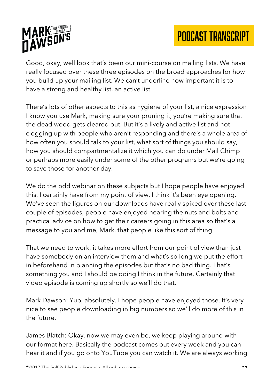



Good, okay, well look that's been our mini-course on mailing lists. We have really focused over these three episodes on the broad approaches for how you build up your mailing list. We can't underline how important it is to have a strong and healthy list, an active list.

There's lots of other aspects to this as hygiene of your list, a nice expression I know you use Mark, making sure your pruning it, you're making sure that the dead wood gets cleared out. But it's a lively and active list and not clogging up with people who aren't responding and there's a whole area of how often you should talk to your list, what sort of things you should say, how you should compartmentalize it which you can do under Mail Chimp or perhaps more easily under some of the other programs but we're going to save those for another day.

We do the odd webinar on these subjects but I hope people have enjoyed this. I certainly have from my point of view. I think it's been eye opening. We've seen the figures on our downloads have really spiked over these last couple of episodes, people have enjoyed hearing the nuts and bolts and practical advice on how to get their careers going in this area so that's a message to you and me, Mark, that people like this sort of thing.

That we need to work, it takes more effort from our point of view than just have somebody on an interview them and what's so long we put the effort in beforehand in planning the episodes but that's no bad thing. That's something you and I should be doing I think in the future. Certainly that video episode is coming up shortly so we'll do that.

Mark Dawson: Yup, absolutely. I hope people have enjoyed those. It's very nice to see people downloading in big numbers so we'll do more of this in the future.

James Blatch: Okay, now we may even be, we keep playing around with our format here. Basically the podcast comes out every week and you can hear it and if you go onto YouTube you can watch it. We are always working